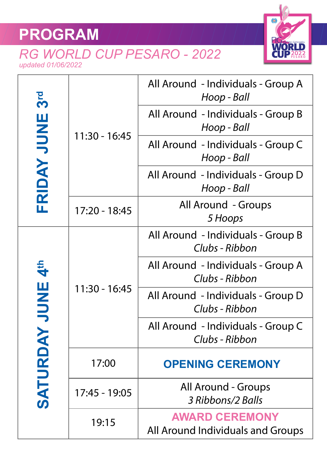## **PROGRAM**

## *RG WORLD CUP PESARO - 2022 updated 01/06/2022*



| 3 <sup>rd</sup><br>FRIDAY JUNE             | 11:30 - 16:45 | All Around - Individuals - Group A<br>Hoop - Ball          |
|--------------------------------------------|---------------|------------------------------------------------------------|
|                                            |               | All Around - Individuals - Group B<br>Hoop - Ball          |
|                                            |               | All Around - Individuals - Group C<br>Hoop - Ball          |
|                                            |               | All Around - Individuals - Group D<br>Hoop - Ball          |
|                                            | 17:20 - 18:45 | <b>All Around - Groups</b><br>5 Hoops                      |
| 4 <sup>th</sup><br><b>JUNE</b><br>SATURDAY | 11:30 - 16:45 | All Around - Individuals - Group B<br>Clubs - Ribbon       |
|                                            |               | All Around - Individuals - Group A<br>Clubs - Ribbon       |
|                                            |               | All Around - Individuals - Group D<br>Clubs - Ribbon       |
|                                            |               | All Around - Individuals - Group C<br>Clubs - Ribbon       |
|                                            | 17:00         | <b>OPENING CEREMONY</b>                                    |
|                                            | 17:45 - 19:05 | <b>All Around - Groups</b><br>3 Ribbons/2 Balls            |
|                                            | 19:15         | <b>AWARD CEREMONY</b><br>All Around Individuals and Groups |